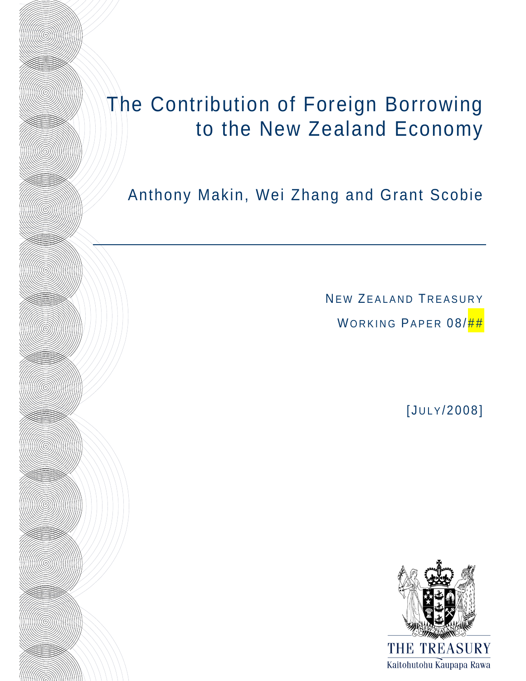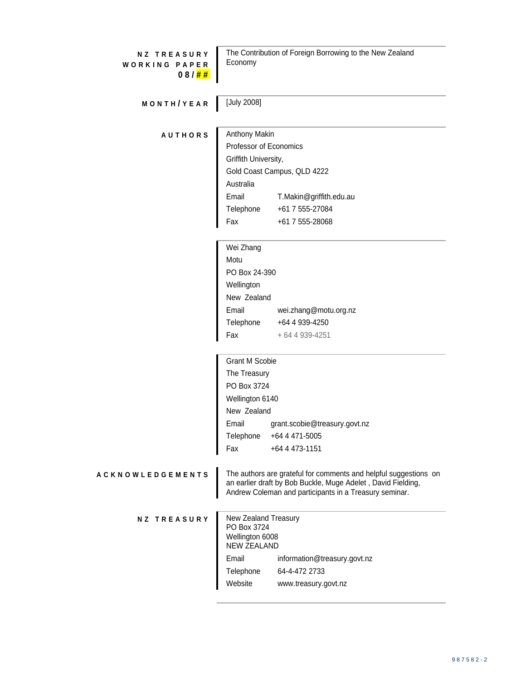| <b>NZ TREASURY</b><br>WORKING PAPER<br>08/ <del>##</del> | The Contribution of Foreign Borrowing to the New Zealand<br>Economy                                                 |                                                                                                                                                                                            |  |  |
|----------------------------------------------------------|---------------------------------------------------------------------------------------------------------------------|--------------------------------------------------------------------------------------------------------------------------------------------------------------------------------------------|--|--|
| MONTH/YEAR                                               | [July 2008]                                                                                                         |                                                                                                                                                                                            |  |  |
| <b>AUTHORS</b>                                           | Anthony Makin<br>Professor of Economics<br>Griffith University,<br>Australia<br>Email<br>Telephone<br>Fax           | Gold Coast Campus, QLD 4222<br>T.Makin@griffith.edu.au<br>+61 7 555-27084<br>+61 7 555-28068                                                                                               |  |  |
|                                                          | Wei Zhang<br>Motu<br>PO Box 24-390<br>Wellington<br>New Zealand<br>Email<br>Telephone<br>Fax                        | wei.zhang@motu.org.nz<br>+64 4 939-4250<br>+ 64 4 939-4251                                                                                                                                 |  |  |
|                                                          | <b>Grant M Scobie</b><br>The Treasury<br>PO Box 3724<br>Wellington 6140<br>New Zealand<br>Email<br>Telephone<br>Fax | grant.scobie@treasury.govt.nz<br>+64 4 471-5005<br>+64 4 473-1151                                                                                                                          |  |  |
| <b>A C K N O W L E D G E M E N T S</b>                   |                                                                                                                     | The authors are grateful for comments and helpful suggestions on<br>an earlier draft by Bob Buckle, Muge Adelet, David Fielding,<br>Andrew Coleman and participants in a Treasury seminar. |  |  |
| <b>NZ TREASURY</b>                                       | New Zealand Treasury<br>PO Box 3724<br>Wellington 6008<br><b>NEW ZEALAND</b><br>Email<br>Telephone<br>Website       | information@treasury.govt.nz<br>64-4-472 2733<br>www.treasury.govt.nz                                                                                                                      |  |  |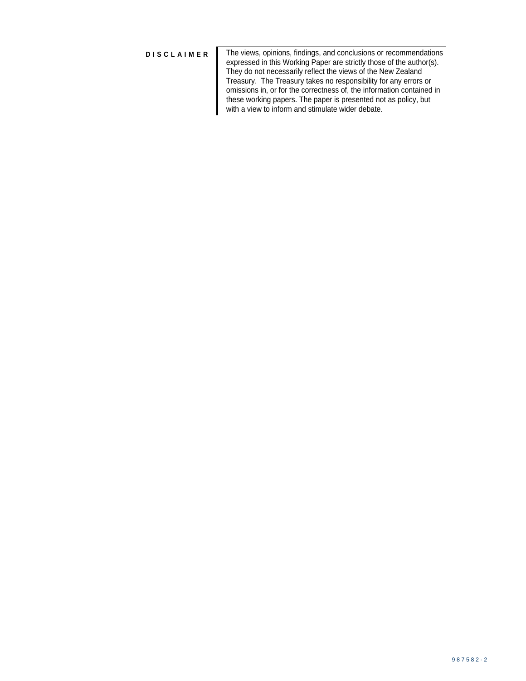**DISCLAIMER** The views, opinions, findings, and conclusions or recommendations expressed in this Working Paper are strictly those of the author(s). They do not necessarily reflect the views of the New Zealand Treasury. The Treasury takes no responsibility for any errors or omissions in, or for the correctness of, the information contained in these working papers. The paper is presented not as policy, but with a view to inform and stimulate wider debate.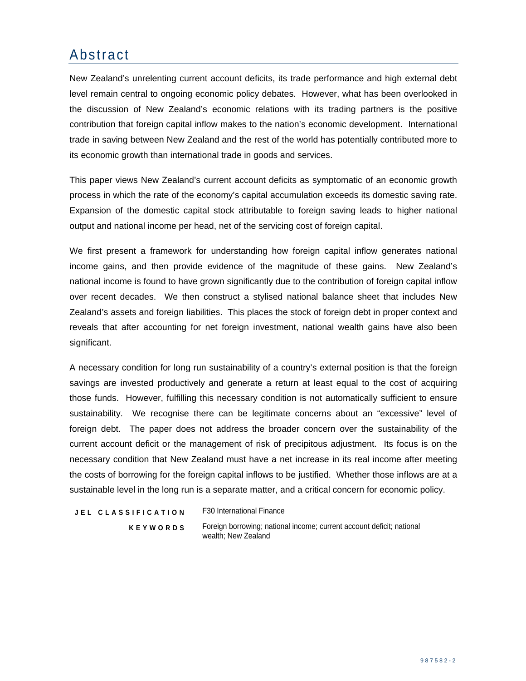## Abstract

New Zealand's unrelenting current account deficits, its trade performance and high external debt level remain central to ongoing economic policy debates. However, what has been overlooked in the discussion of New Zealand's economic relations with its trading partners is the positive contribution that foreign capital inflow makes to the nation's economic development. International trade in saving between New Zealand and the rest of the world has potentially contributed more to its economic growth than international trade in goods and services.

This paper views New Zealand's current account deficits as symptomatic of an economic growth process in which the rate of the economy's capital accumulation exceeds its domestic saving rate. Expansion of the domestic capital stock attributable to foreign saving leads to higher national output and national income per head, net of the servicing cost of foreign capital.

We first present a framework for understanding how foreign capital inflow generates national income gains, and then provide evidence of the magnitude of these gains. New Zealand's national income is found to have grown significantly due to the contribution of foreign capital inflow over recent decades. We then construct a stylised national balance sheet that includes New Zealand's assets and foreign liabilities. This places the stock of foreign debt in proper context and reveals that after accounting for net foreign investment, national wealth gains have also been significant.

A necessary condition for long run sustainability of a country's external position is that the foreign savings are invested productively and generate a return at least equal to the cost of acquiring those funds. However, fulfilling this necessary condition is not automatically sufficient to ensure sustainability. We recognise there can be legitimate concerns about an "excessive" level of foreign debt. The paper does not address the broader concern over the sustainability of the current account deficit or the management of risk of precipitous adjustment. Its focus is on the necessary condition that New Zealand must have a net increase in its real income after meeting the costs of borrowing for the foreign capital inflows to be justified. Whether those inflows are at a sustainable level in the long run is a separate matter, and a critical concern for economic policy.

### **JEL CLASSIFICATION** F30 International Finance

**KEYWORDS** Foreign borrowing; national income; current account deficit; national wealth; New Zealand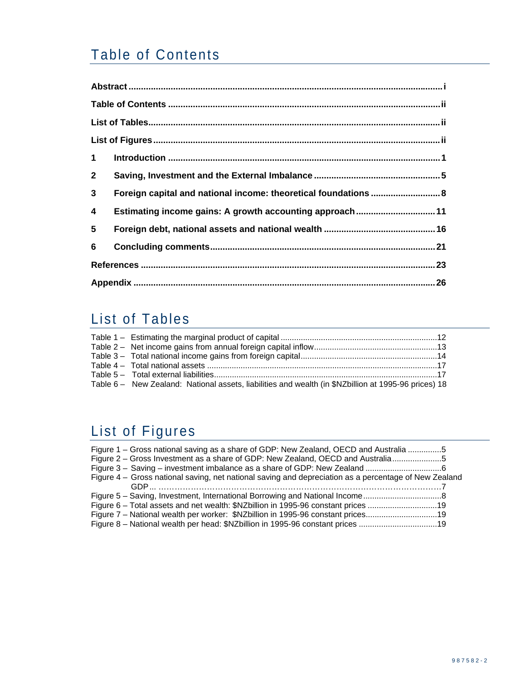## Table of Contents

| $\mathbf 1$             |                                                                 |  |
|-------------------------|-----------------------------------------------------------------|--|
| $\mathbf{2}$            |                                                                 |  |
| $\mathbf{3}$            | Foreign capital and national income: theoretical foundations  8 |  |
| $\overline{\mathbf{4}}$ | Estimating income gains: A growth accounting approach 11        |  |
| 5                       |                                                                 |  |
| 6                       |                                                                 |  |
|                         |                                                                 |  |
|                         |                                                                 |  |

## List of Tables

| Table 6 – New Zealand: National assets, liabilities and wealth (in \$NZbillion at 1995-96 prices) 18 |  |
|------------------------------------------------------------------------------------------------------|--|
|                                                                                                      |  |

## List of Figures

| Figure 1 – Gross national saving as a share of GDP: New Zealand, OECD and Australia 5                 |  |
|-------------------------------------------------------------------------------------------------------|--|
| Figure 2 – Gross Investment as a share of GDP: New Zealand, OECD and Australia5                       |  |
|                                                                                                       |  |
| Figure 4 – Gross national saving, net national saving and depreciation as a percentage of New Zealand |  |
|                                                                                                       |  |
|                                                                                                       |  |
| Figure 6 - Total assets and net wealth: \$NZbillion in 1995-96 constant prices 19                     |  |
| Figure 7 - National wealth per worker: \$NZbillion in 1995-96 constant prices19                       |  |
| Figure 8 - National wealth per head: \$NZbillion in 1995-96 constant prices 19                        |  |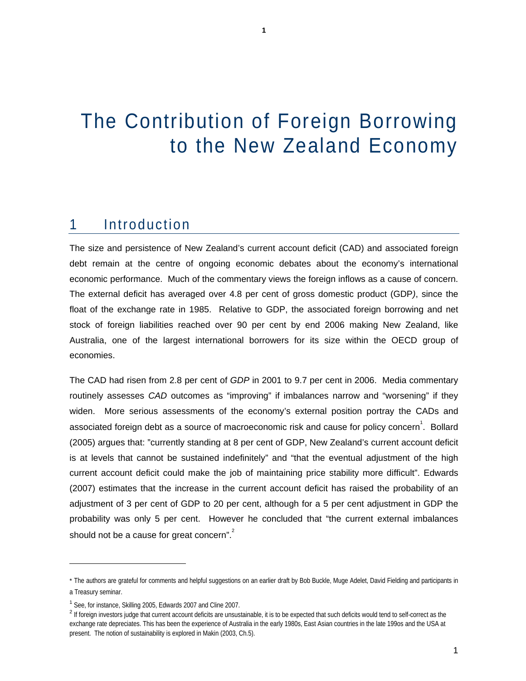# The Contribution of Foreign Borrowing to the New Zealand Economy

**1**

## 1 Introduction

The size and persistence of New Zealand's current account deficit (CAD) and associated foreign debt remain at the centre of ongoing economic debates about the economy's international economic performance. Much of the commentary views the foreign inflows as a cause of concern. The external deficit has averaged over 4.8 per cent of gross domestic product (GDP*)*, since the float of the exchange rate in 1985. Relative to GDP, the associated foreign borrowing and net stock of foreign liabilities reached over 90 per cent by end 2006 making New Zealand, like Australia, one of the largest international borrowers for its size within the OECD group of economies.

The CAD had risen from 2.8 per cent of *GDP* in 2001 to 9.7 per cent in 2006. Media commentary routinely assesses *CAD* outcomes as "improving" if imbalances narrow and "worsening" if they widen. More serious assessments of the economy's external position portray the CADs and associated foreign debt as a source of macroeconomic risk and cause for policy concern<sup>1</sup>. Bollard (2005) argues that: "currently standing at 8 per cent of GDP, New Zealand's current account deficit is at levels that cannot be sustained indefinitely" and "that the eventual adjustment of the high current account deficit could make the job of maintaining price stability more difficult". Edwards (2007) estimates that the increase in the current account deficit has raised the probability of an adjustment of 3 per cent of GDP to 20 per cent, although for a 5 per cent adjustment in GDP the probability was only 5 per cent. However he concluded that "the current external imbalances should not be a cause for great concern". $^{2}$ 

 $\overline{a}$ 

<sup>\*</sup> The authors are grateful for comments and helpful suggestions on an earlier draft by Bob Buckle, Muge Adelet, David Fielding and participants in a Treasury seminar.

<sup>&</sup>lt;sup>1</sup> See, for instance, Skilling 2005, Edwards 2007 and Cline 2007.

<sup>&</sup>lt;sup>2</sup> If foreign investors judge that current account deficits are unsustainable, it is to be expected that such deficits would tend to self-correct as the exchange rate depreciates. This has been the experience of Australia in the early 1980s, East Asian countries in the late 199os and the USA at present. The notion of sustainability is explored in Makin (2003, Ch.5).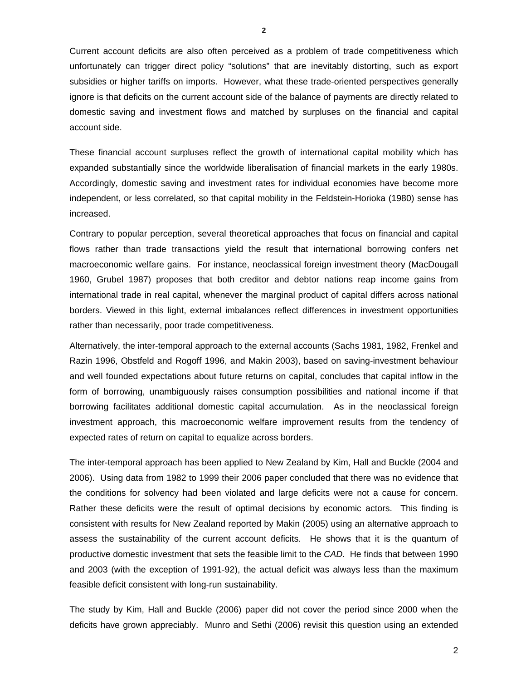Current account deficits are also often perceived as a problem of trade competitiveness which unfortunately can trigger direct policy "solutions" that are inevitably distorting, such as export subsidies or higher tariffs on imports. However, what these trade-oriented perspectives generally ignore is that deficits on the current account side of the balance of payments are directly related to domestic saving and investment flows and matched by surpluses on the financial and capital account side.

These financial account surpluses reflect the growth of international capital mobility which has expanded substantially since the worldwide liberalisation of financial markets in the early 1980s. Accordingly, domestic saving and investment rates for individual economies have become more independent, or less correlated, so that capital mobility in the Feldstein-Horioka (1980) sense has increased.

Contrary to popular perception, several theoretical approaches that focus on financial and capital flows rather than trade transactions yield the result that international borrowing confers net macroeconomic welfare gains. For instance, neoclassical foreign investment theory (MacDougall 1960, Grubel 1987) proposes that both creditor and debtor nations reap income gains from international trade in real capital, whenever the marginal product of capital differs across national borders. Viewed in this light, external imbalances reflect differences in investment opportunities rather than necessarily, poor trade competitiveness.

Alternatively, the inter-temporal approach to the external accounts (Sachs 1981, 1982, Frenkel and Razin 1996, Obstfeld and Rogoff 1996, and Makin 2003), based on saving-investment behaviour and well founded expectations about future returns on capital, concludes that capital inflow in the form of borrowing, unambiguously raises consumption possibilities and national income if that borrowing facilitates additional domestic capital accumulation. As in the neoclassical foreign investment approach, this macroeconomic welfare improvement results from the tendency of expected rates of return on capital to equalize across borders.

The inter-temporal approach has been applied to New Zealand by Kim, Hall and Buckle (2004 and 2006). Using data from 1982 to 1999 their 2006 paper concluded that there was no evidence that the conditions for solvency had been violated and large deficits were not a cause for concern. Rather these deficits were the result of optimal decisions by economic actors. This finding is consistent with results for New Zealand reported by Makin (2005) using an alternative approach to assess the sustainability of the current account deficits. He shows that it is the quantum of productive domestic investment that sets the feasible limit to the *CAD.* He finds that between 1990 and 2003 (with the exception of 1991-92), the actual deficit was always less than the maximum feasible deficit consistent with long-run sustainability.

The study by Kim, Hall and Buckle (2006) paper did not cover the period since 2000 when the deficits have grown appreciably. Munro and Sethi (2006) revisit this question using an extended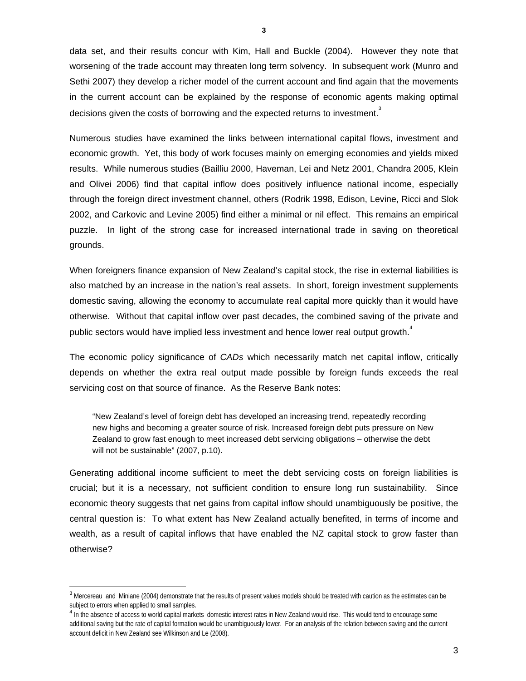data set, and their results concur with Kim, Hall and Buckle (2004). However they note that worsening of the trade account may threaten long term solvency. In subsequent work (Munro and Sethi 2007) they develop a richer model of the current account and find again that the movements in the current account can be explained by the response of economic agents making optimal decisions given the costs of borrowing and the expected returns to investment.<sup>3</sup>

Numerous studies have examined the links between international capital flows, investment and economic growth. Yet, this body of work focuses mainly on emerging economies and yields mixed results. While numerous studies (Bailliu 2000, Haveman, Lei and Netz 2001, Chandra 2005, Klein and Olivei 2006) find that capital inflow does positively influence national income, especially through the foreign direct investment channel, others (Rodrik 1998, Edison, Levine, Ricci and Slok 2002, and Carkovic and Levine 2005) find either a minimal or nil effect. This remains an empirical puzzle. In light of the strong case for increased international trade in saving on theoretical grounds.

When foreigners finance expansion of New Zealand's capital stock, the rise in external liabilities is also matched by an increase in the nation's real assets. In short, foreign investment supplements domestic saving, allowing the economy to accumulate real capital more quickly than it would have otherwise. Without that capital inflow over past decades, the combined saving of the private and public sectors would have implied less investment and hence lower real output growth. $^{4}$ 

The economic policy significance of *CADs* which necessarily match net capital inflow, critically depends on whether the extra real output made possible by foreign funds exceeds the real servicing cost on that source of finance. As the Reserve Bank notes:

"New Zealand's level of foreign debt has developed an increasing trend, repeatedly recording new highs and becoming a greater source of risk. Increased foreign debt puts pressure on New Zealand to grow fast enough to meet increased debt servicing obligations – otherwise the debt will not be sustainable" (2007, p.10).

Generating additional income sufficient to meet the debt servicing costs on foreign liabilities is crucial; but it is a necessary, not sufficient condition to ensure long run sustainability. Since economic theory suggests that net gains from capital inflow should unambiguously be positive, the central question is: To what extent has New Zealand actually benefited, in terms of income and wealth, as a result of capital inflows that have enabled the NZ capital stock to grow faster than otherwise?

 $\overline{a}$ 

<sup>&</sup>lt;sup>3</sup> Mercereau and Miniane (2004) demonstrate that the results of present values models should be treated with caution as the estimates can be subject to errors when applied to small samples.

<sup>&</sup>lt;sup>4</sup> In the absence of access to world capital markets domestic interest rates in New Zealand would rise. This would tend to encourage some additional saving but the rate of capital formation would be unambiguously lower. For an analysis of the relation between saving and the current account deficit in New Zealand see Wilkinson and Le (2008).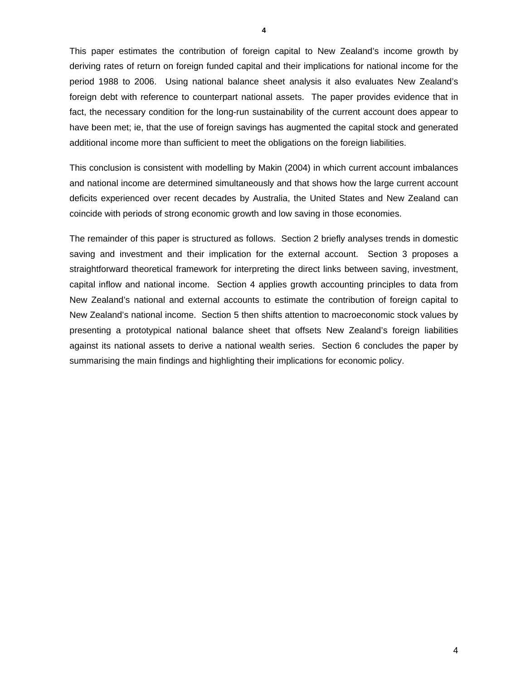**4**

This paper estimates the contribution of foreign capital to New Zealand's income growth by deriving rates of return on foreign funded capital and their implications for national income for the period 1988 to 2006. Using national balance sheet analysis it also evaluates New Zealand's foreign debt with reference to counterpart national assets. The paper provides evidence that in fact, the necessary condition for the long-run sustainability of the current account does appear to have been met; ie, that the use of foreign savings has augmented the capital stock and generated additional income more than sufficient to meet the obligations on the foreign liabilities.

This conclusion is consistent with modelling by Makin (2004) in which current account imbalances and national income are determined simultaneously and that shows how the large current account deficits experienced over recent decades by Australia, the United States and New Zealand can coincide with periods of strong economic growth and low saving in those economies.

The remainder of this paper is structured as follows. Section 2 briefly analyses trends in domestic saving and investment and their implication for the external account. Section 3 proposes a straightforward theoretical framework for interpreting the direct links between saving, investment, capital inflow and national income. Section 4 applies growth accounting principles to data from New Zealand's national and external accounts to estimate the contribution of foreign capital to New Zealand's national income. Section 5 then shifts attention to macroeconomic stock values by presenting a prototypical national balance sheet that offsets New Zealand's foreign liabilities against its national assets to derive a national wealth series. Section 6 concludes the paper by summarising the main findings and highlighting their implications for economic policy.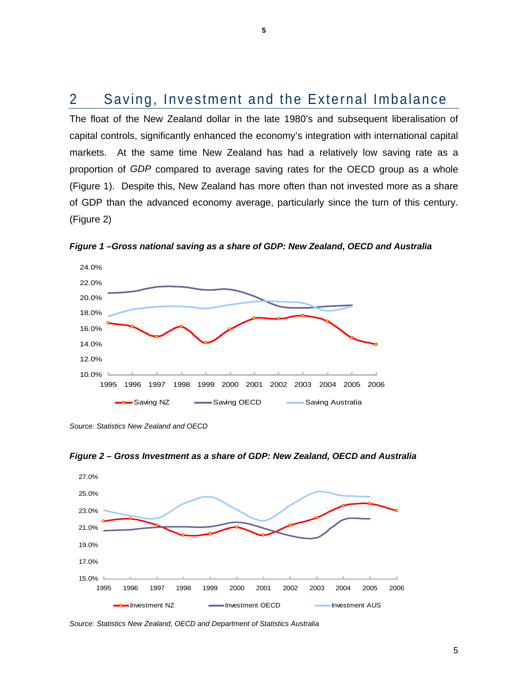### 2 Saving, Investment and the External Imbalance

The float of the New Zealand dollar in the late 1980's and subsequent liberalisation of capital controls, significantly enhanced the economy's integration with international capital markets. At the same time New Zealand has had a relatively low saving rate as a proportion of *GDP* compared to average saving rates for the OECD group as a whole (Figure 1). Despite this, New Zealand has more often than not invested more as a share of GDP than the advanced economy average, particularly since the turn of this century. (Figure 2)



*Figure 1 –Gross national saving as a share of GDP: New Zealand, OECD and Australia*

*Source: Statistics New Zealand and OECD* 



*Figure 2 – Gross Investment as a share of GDP: New Zealand, OECD and Australia*

*Source: Statistics New Zealand, OECD and Department of Statistics Australia*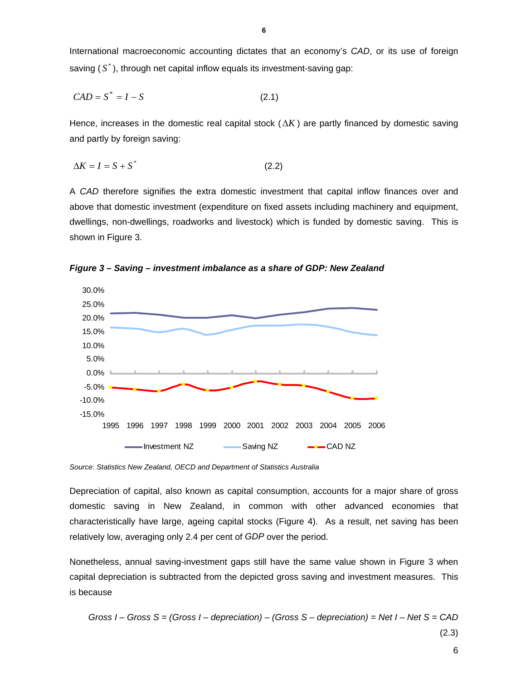International macroeconomic accounting dictates that an economy's *CAD*, or its use of foreign saving  $(S^*)$ , through net capital inflow equals its investment-saving gap:

$$
CAD = S^* = I - S \tag{2.1}
$$

Hence, increases in the domestic real capital stock  $(\Delta K)$  are partly financed by domestic saving and partly by foreign saving:

$$
\Delta K = I = S + S^* \tag{2.2}
$$

A *CAD* therefore signifies the extra domestic investment that capital inflow finances over and above that domestic investment (expenditure on fixed assets including machinery and equipment, dwellings, non-dwellings, roadworks and livestock) which is funded by domestic saving. This is shown in Figure 3.

*Figure 3 – Saving – investment imbalance as a share of GDP: New Zealand*



*Source: Statistics New Zealand, OECD and Department of Statistics Australia* 

Depreciation of capital, also known as capital consumption, accounts for a major share of gross domestic saving in New Zealand, in common with other advanced economies that characteristically have large, ageing capital stocks (Figure 4). As a result, net saving has been relatively low, averaging only 2.4 per cent of *GDP* over the period.

Nonetheless, annual saving-investment gaps still have the same value shown in Figure 3 when capital depreciation is subtracted from the depicted gross saving and investment measures. This is because

*Gross I – Gross S = (Gross I – depreciation) – (Gross S – depreciation) = Net I – Net S = CAD*

(2.3)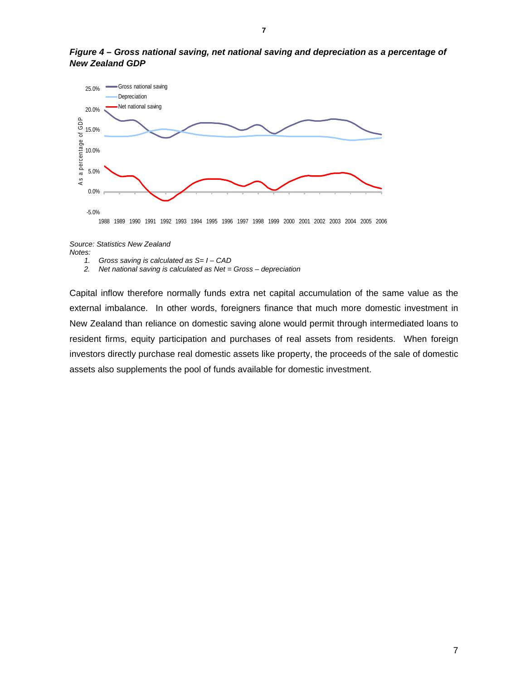

*Figure 4 – Gross national saving, net national saving and depreciation as a percentage of New Zealand GDP*

*Source: Statistics New Zealand Notes:* 

- *1. Gross saving is calculated as S= I CAD*
- *2. Net national saving is calculated as Net = Gross depreciation*

Capital inflow therefore normally funds extra net capital accumulation of the same value as the external imbalance. In other words, foreigners finance that much more domestic investment in New Zealand than reliance on domestic saving alone would permit through intermediated loans to resident firms, equity participation and purchases of real assets from residents. When foreign investors directly purchase real domestic assets like property, the proceeds of the sale of domestic assets also supplements the pool of funds available for domestic investment.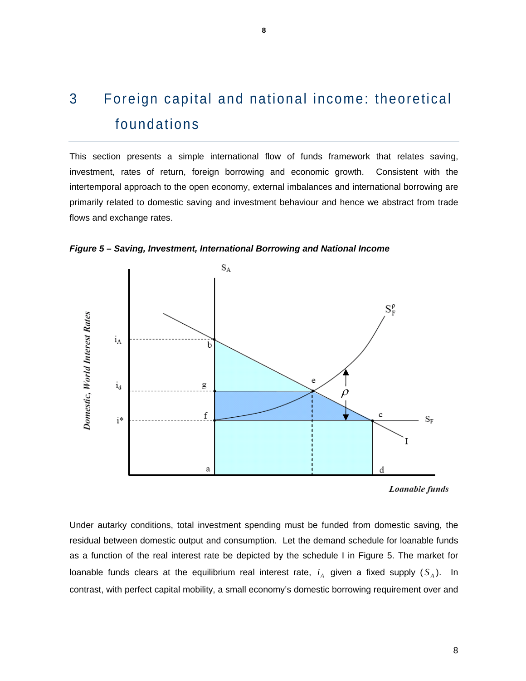## 3 Foreign capital and national income: theoretical foundations

This section presents a simple international flow of funds framework that relates saving, investment, rates of return, foreign borrowing and economic growth. Consistent with the intertemporal approach to the open economy, external imbalances and international borrowing are primarily related to domestic saving and investment behaviour and hence we abstract from trade flows and exchange rates.





Loanable funds

Under autarky conditions, total investment spending must be funded from domestic saving, the residual between domestic output and consumption. Let the demand schedule for loanable funds as a function of the real interest rate be depicted by the schedule I in Figure 5. The market for loanable funds clears at the equilibrium real interest rate,  $i_A$  given a fixed supply  $(S_A)$ . In contrast, with perfect capital mobility, a small economy's domestic borrowing requirement over and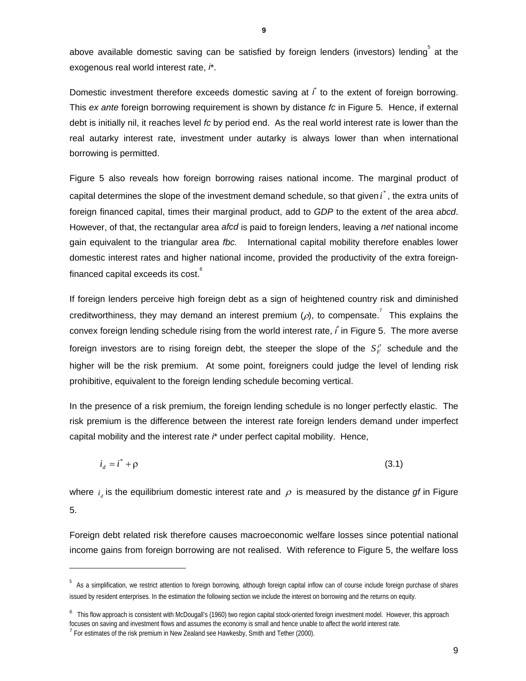above available domestic saving can be satisfied by foreign lenders (investors) lending at the exogenous real world interest rate, *i*\*.

Domestic investment therefore exceeds domestic saving at  $\hat{i}$  to the extent of foreign borrowing. This *ex ante* foreign borrowing requirement is shown by distance *fc* in Figure 5. Hence, if external debt is initially nil, it reaches level *fc* by period end. As the real world interest rate is lower than the real autarky interest rate, investment under autarky is always lower than when international borrowing is permitted.

Figure 5 also reveals how foreign borrowing raises national income. The marginal product of capital determines the slope of the investment demand schedule, so that given i<sup>\*</sup>, the extra units of foreign financed capital, times their marginal product, add to *GDP* to the extent of the area *abcd*. However, of that, the rectangular area *afcd* is paid to foreign lenders, leaving a *net* national income gain equivalent to the triangular area *fbc.* International capital mobility therefore enables lower domestic interest rates and higher national income, provided the productivity of the extra foreignfinanced capital exceeds its cost.

If foreign lenders perceive high foreign debt as a sign of heightened country risk and diminished creditworthiness, they may demand an interest premium ( $\rho$ ), to compensate.<sup>7</sup> This explains the convex foreign lending schedule rising from the world interest rate,  $\hat{i}$  in Figure 5. The more averse foreign investors are to rising foreign debt, the steeper the slope of the  $S_F^{\,\,\rho}$  schedule and the higher will be the risk premium. At some point, foreigners could judge the level of lending risk prohibitive, equivalent to the foreign lending schedule becoming vertical.

In the presence of a risk premium, the foreign lending schedule is no longer perfectly elastic. The risk premium is the difference between the interest rate foreign lenders demand under imperfect capital mobility and the interest rate *i*\* under perfect capital mobility. Hence,

 $i_d = i^* + \rho$  (3.1)

where  $i_d$  is the equilibrium domestic interest rate and  $\rho$  is measured by the distance *gf* in Figure 5.

Foreign debt related risk therefore causes macroeconomic welfare losses since potential national income gains from foreign borrowing are not realised. With reference to Figure 5, the welfare loss

 $\overline{a}$ 

<sup>&</sup>lt;sup>5</sup> As a simplification, we restrict attention to foreign borrowing, although foreign capital inflow can of course include foreign purchase of shares issued by resident enterprises. In the estimation the following section we include the interest on borrowing and the returns on equity.

<sup>&</sup>lt;sup>6</sup> This flow approach is consistent with McDougall's (1960) two region capital stock-oriented foreign investment model. However, this approach focuses on saving and investment flows and assumes the economy is small and hence unable to affect the world interest rate.

<sup>&</sup>lt;sup>7</sup> For estimates of the risk premium in New Zealand see Hawkesby, Smith and Tether (2000).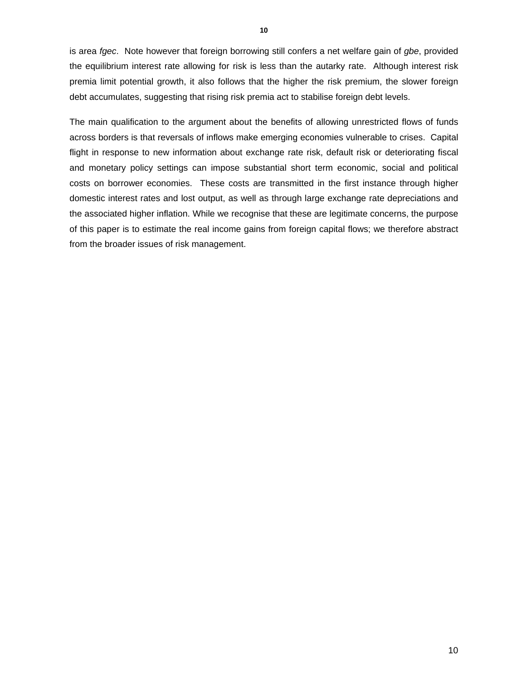**10**

is area *fgec*. Note however that foreign borrowing still confers a net welfare gain of *gbe*, provided the equilibrium interest rate allowing for risk is less than the autarky rate. Although interest risk premia limit potential growth, it also follows that the higher the risk premium, the slower foreign debt accumulates, suggesting that rising risk premia act to stabilise foreign debt levels.

The main qualification to the argument about the benefits of allowing unrestricted flows of funds across borders is that reversals of inflows make emerging economies vulnerable to crises. Capital flight in response to new information about exchange rate risk, default risk or deteriorating fiscal and monetary policy settings can impose substantial short term economic, social and political costs on borrower economies. These costs are transmitted in the first instance through higher domestic interest rates and lost output, as well as through large exchange rate depreciations and the associated higher inflation. While we recognise that these are legitimate concerns, the purpose of this paper is to estimate the real income gains from foreign capital flows; we therefore abstract from the broader issues of risk management.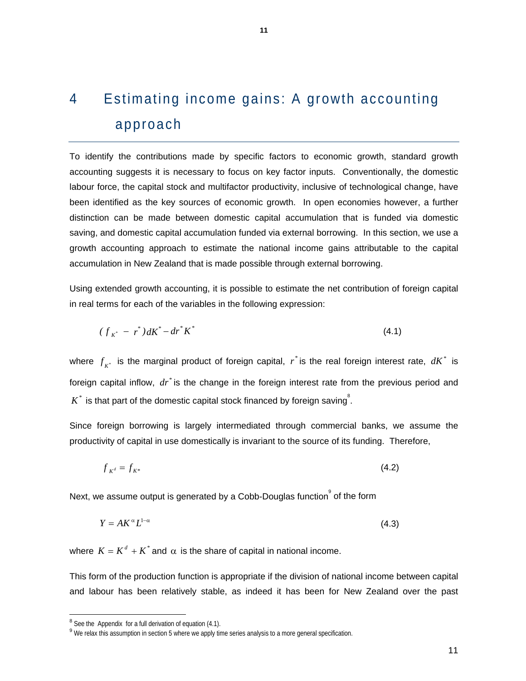## 4 Estimating income gains: A growth accounting approach

To identify the contributions made by specific factors to economic growth, standard growth accounting suggests it is necessary to focus on key factor inputs. Conventionally, the domestic labour force, the capital stock and multifactor productivity, inclusive of technological change, have been identified as the key sources of economic growth. In open economies however, a further distinction can be made between domestic capital accumulation that is funded via domestic saving, and domestic capital accumulation funded via external borrowing. In this section, we use a growth accounting approach to estimate the national income gains attributable to the capital accumulation in New Zealand that is made possible through external borrowing.

Using extended growth accounting, it is possible to estimate the net contribution of foreign capital in real terms for each of the variables in the following expression:

$$
(f_{K^*} - r^*)dK^* - dr^*K^* \tag{4.1}
$$

where  $f_{K^*}$  is the marginal product of foreign capital,  $r^*$  is the real foreign interest rate,  $dK^*$  is foreign capital inflow,  $dr^*$  is the change in the foreign interest rate from the previous period and  $K^*$  is that part of the domestic capital stock financed by foreign saving<sup>8</sup>.

Since foreign borrowing is largely intermediated through commercial banks, we assume the productivity of capital in use domestically is invariant to the source of its funding. Therefore,

$$
f_{K^d} = f_{K^*} \tag{4.2}
$$

Next, we assume output is generated by a Cobb-Douglas function $\degree$  of the form

$$
Y = AK^{\alpha}L^{1-\alpha} \tag{4.3}
$$

where  $K = K^d + K^*$  and  $\alpha$  is the share of capital in national income.

This form of the production function is appropriate if the division of national income between capital and labour has been relatively stable, as indeed it has been for New Zealand over the past

 $\overline{a}$ 

<sup>&</sup>lt;sup>8</sup> See the Appendix for a full derivation of equation (4.1).

<sup>&</sup>lt;sup>9</sup> We relax this assumption in section 5 where we apply time series analysis to a more general specification.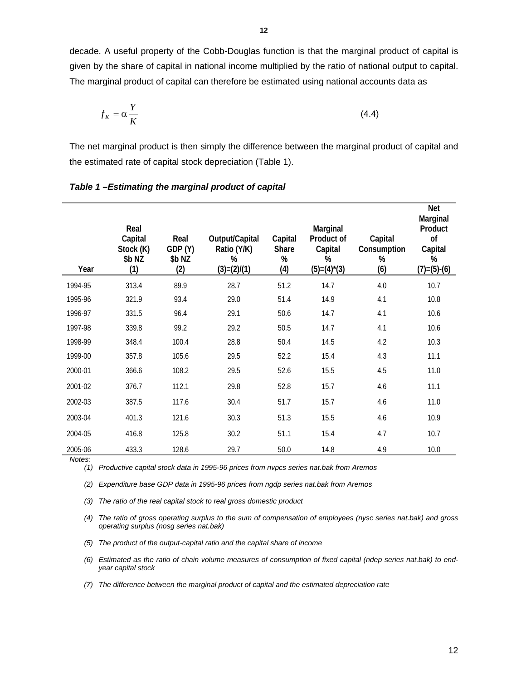decade. A useful property of the Cobb-Douglas function is that the marginal product of capital is given by the share of capital in national income multiplied by the ratio of national output to capital. The marginal product of capital can therefore be estimated using national accounts data as

$$
f_K = \alpha \frac{Y}{K} \tag{4.4}
$$

The net marginal product is then simply the difference between the marginal product of capital and the estimated rate of capital stock depreciation (Table 1).

| Year    | Real<br>Capital<br>Stock (K)<br>\$b <sub>NZ</sub><br>(1) | Real<br>GDP (Y)<br>\$b NZ<br>(2) | Output/Capital<br>Ratio (Y/K)<br>%<br>$(3)=(2)/(1)$ | Capital<br>Share<br>%<br>(4) | Marginal<br>Product of<br>Capital<br>%<br>$(5)=(4)^*(3)$ | Capital<br>Consumption<br>%<br>(6) | <b>Net</b><br>Marginal<br>Product<br>of<br>Capital<br>%<br>$(7)=(5)-(6)$ |
|---------|----------------------------------------------------------|----------------------------------|-----------------------------------------------------|------------------------------|----------------------------------------------------------|------------------------------------|--------------------------------------------------------------------------|
| 1994-95 | 313.4                                                    | 89.9                             | 28.7                                                | 51.2                         | 14.7                                                     | 4.0                                | 10.7                                                                     |
| 1995-96 | 321.9                                                    | 93.4                             | 29.0                                                | 51.4                         | 14.9                                                     | 4.1                                | 10.8                                                                     |
| 1996-97 | 331.5                                                    | 96.4                             | 29.1                                                | 50.6                         | 14.7                                                     | 4.1                                | 10.6                                                                     |
| 1997-98 | 339.8                                                    | 99.2                             | 29.2                                                | 50.5                         | 14.7                                                     | 4.1                                | 10.6                                                                     |
| 1998-99 | 348.4                                                    | 100.4                            | 28.8                                                | 50.4                         | 14.5                                                     | 4.2                                | 10.3                                                                     |
| 1999-00 | 357.8                                                    | 105.6                            | 29.5                                                | 52.2                         | 15.4                                                     | 4.3                                | 11.1                                                                     |
| 2000-01 | 366.6                                                    | 108.2                            | 29.5                                                | 52.6                         | 15.5                                                     | 4.5                                | 11.0                                                                     |
| 2001-02 | 376.7                                                    | 112.1                            | 29.8                                                | 52.8                         | 15.7                                                     | 4.6                                | 11.1                                                                     |
| 2002-03 | 387.5                                                    | 117.6                            | 30.4                                                | 51.7                         | 15.7                                                     | 4.6                                | 11.0                                                                     |
| 2003-04 | 401.3                                                    | 121.6                            | 30.3                                                | 51.3                         | 15.5                                                     | 4.6                                | 10.9                                                                     |
| 2004-05 | 416.8                                                    | 125.8                            | 30.2                                                | 51.1                         | 15.4                                                     | 4.7                                | 10.7                                                                     |
| 2005-06 | 433.3                                                    | 128.6                            | 29.7                                                | 50.0                         | 14.8                                                     | 4.9                                | 10.0                                                                     |

### *Table 1 –Estimating the marginal product of capital*

*Notes:* 

*(1) Productive capital stock data in 1995-96 prices from nvpcs series nat.bak from Aremos* 

*(2) Expenditure base GDP data in 1995-96 prices from ngdp series nat.bak from Aremos* 

*(3) The ratio of the real capital stock to real gross domestic product* 

*(4) The ratio of gross operating surplus to the sum of compensation of employees (nysc series nat.bak) and gross operating surplus (nosg series nat.bak)* 

*(5) The product of the output-capital ratio and the capital share of income* 

*(6) Estimated as the ratio of chain volume measures of consumption of fixed capital (ndep series nat.bak) to endyear capital stock* 

*(7) The difference between the marginal product of capital and the estimated depreciation rate*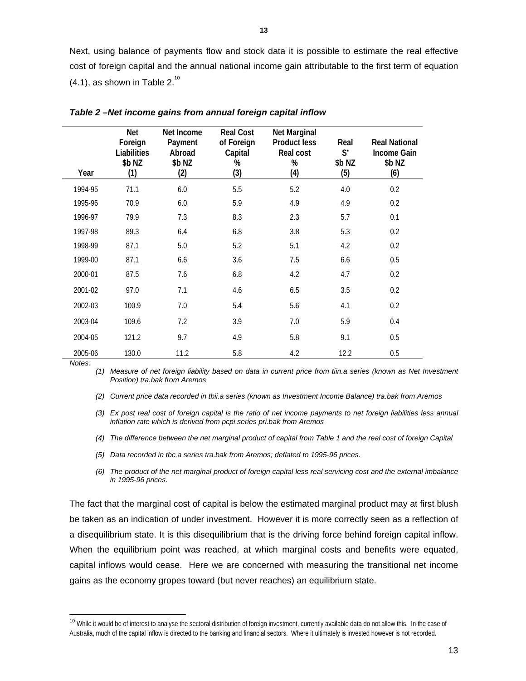Next, using balance of payments flow and stock data it is possible to estimate the real effective cost of foreign capital and the annual national income gain attributable to the first term of equation  $(4.1)$ , as shown in Table 2.<sup>10</sup>

| Year    | <b>Net</b><br>Foreign<br>Liabilities<br>\$b NZ<br>(1) | Net Income<br>Payment<br>Abroad<br>\$b NZ<br>(2) | <b>Real Cost</b><br>of Foreign<br>Capital<br>%<br>(3) | <b>Net Marginal</b><br><b>Product less</b><br>Real cost<br>%<br>(4) | Real<br>$S^*$<br>\$b NZ<br>(5) | <b>Real National</b><br>Income Gain<br>\$b NZ<br>(6) |
|---------|-------------------------------------------------------|--------------------------------------------------|-------------------------------------------------------|---------------------------------------------------------------------|--------------------------------|------------------------------------------------------|
| 1994-95 | 71.1                                                  | 6.0                                              | 5.5                                                   | 5.2                                                                 | 4.0                            | 0.2                                                  |
| 1995-96 | 70.9                                                  | 6.0                                              | 5.9                                                   | 4.9                                                                 | 4.9                            | 0.2                                                  |
| 1996-97 | 79.9                                                  | 7.3                                              | 8.3                                                   | 2.3                                                                 | 5.7                            | 0.1                                                  |
| 1997-98 | 89.3                                                  | 6.4                                              | 6.8                                                   | 3.8                                                                 | 5.3                            | 0.2                                                  |
| 1998-99 | 87.1                                                  | 5.0                                              | 5.2                                                   | 5.1                                                                 | 4.2                            | 0.2                                                  |
| 1999-00 | 87.1                                                  | 6.6                                              | 3.6                                                   | 7.5                                                                 | 6.6                            | 0.5                                                  |
| 2000-01 | 87.5                                                  | 7.6                                              | 6.8                                                   | 4.2                                                                 | 4.7                            | 0.2                                                  |
| 2001-02 | 97.0                                                  | 7.1                                              | 4.6                                                   | 6.5                                                                 | 3.5                            | 0.2                                                  |
| 2002-03 | 100.9                                                 | 7.0                                              | 5.4                                                   | 5.6                                                                 | 4.1                            | 0.2                                                  |
| 2003-04 | 109.6                                                 | 7.2                                              | 3.9                                                   | 7.0                                                                 | 5.9                            | 0.4                                                  |
| 2004-05 | 121.2                                                 | 9.7                                              | 4.9                                                   | 5.8                                                                 | 9.1                            | 0.5                                                  |
| 2005-06 | 130.0                                                 | 11.2                                             | 5.8                                                   | 4.2                                                                 | 12.2                           | 0.5                                                  |

| Table 2-Net income gains from annual foreign capital inflow |
|-------------------------------------------------------------|
|-------------------------------------------------------------|

*(1) Measure of net foreign liability based on data in current price from tiin.a series (known as Net Investment Position) tra.bak from Aremos* 

*(2) Current price data recorded in tbii.a series (known as Investment Income Balance) tra.bak from Aremos* 

*(3) Ex post real cost of foreign capital is the ratio of net income payments to net foreign liabilities less annual inflation rate which is derived from pcpi series pri.bak from Aremos* 

*(4) The difference between the net marginal product of capital from Table 1 and the real cost of foreign Capital* 

*(5) Data recorded in tbc.a series tra.bak from Aremos; deflated to 1995-96 prices.* 

 $\overline{a}$ 

*(6) The product of the net marginal product of foreign capital less real servicing cost and the external imbalance in 1995-96 prices.* 

The fact that the marginal cost of capital is below the estimated marginal product may at first blush be taken as an indication of under investment. However it is more correctly seen as a reflection of a disequilibrium state. It is this disequilibrium that is the driving force behind foreign capital inflow. When the equilibrium point was reached, at which marginal costs and benefits were equated, capital inflows would cease. Here we are concerned with measuring the transitional net income gains as the economy gropes toward (but never reaches) an equilibrium state.

<sup>&</sup>lt;sup>10</sup> While it would be of interest to analyse the sectoral distribution of foreign investment, currently available data do not allow this. In the case of Australia, much of the capital inflow is directed to the banking and financial sectors. Where it ultimately is invested however is not recorded.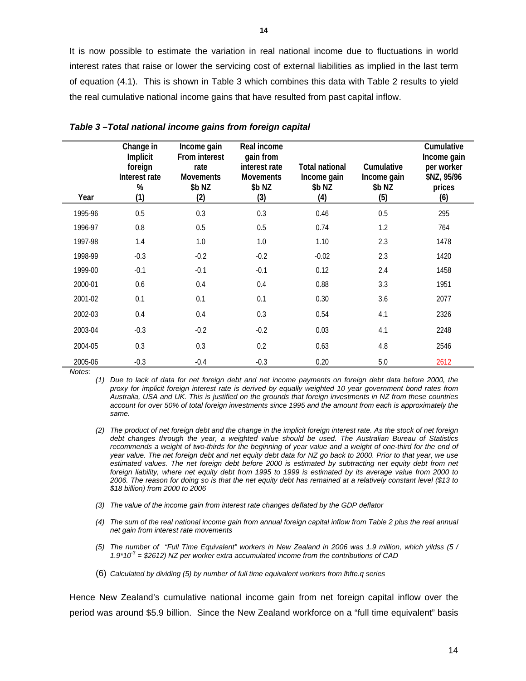**14**

It is now possible to estimate the variation in real national income due to fluctuations in world interest rates that raise or lower the servicing cost of external liabilities as implied in the last term of equation (4.1). This is shown in Table 3 which combines this data with Table 2 results to yield the real cumulative national income gains that have resulted from past capital inflow.

| Year    | Change in<br>Implicit<br>foreign<br>Interest rate<br>%<br>(1) | Income gain<br>From interest<br>rate<br><b>Movements</b><br>\$b <sub>NZ</sub><br>(2) | Real income<br>gain from<br>interest rate<br><b>Movements</b><br>\$b NZ<br>(3) | Total national<br>Income gain<br>\$b NZ<br>(4) | Cumulative<br>Income gain<br>\$b NZ<br>(5) | Cumulative<br>Income gain<br>per worker<br>\$NZ, 95/96<br>prices<br>(6) |
|---------|---------------------------------------------------------------|--------------------------------------------------------------------------------------|--------------------------------------------------------------------------------|------------------------------------------------|--------------------------------------------|-------------------------------------------------------------------------|
| 1995-96 | 0.5                                                           | 0.3                                                                                  | 0.3                                                                            | 0.46                                           | 0.5                                        | 295                                                                     |
| 1996-97 | 0.8                                                           | 0.5                                                                                  | 0.5                                                                            | 0.74                                           | 1.2                                        | 764                                                                     |
| 1997-98 | 1.4                                                           | 1.0                                                                                  | 1.0                                                                            | 1.10                                           | 2.3                                        | 1478                                                                    |
| 1998-99 | $-0.3$                                                        | $-0.2$                                                                               | $-0.2$                                                                         | $-0.02$                                        | 2.3                                        | 1420                                                                    |
| 1999-00 | $-0.1$                                                        | $-0.1$                                                                               | $-0.1$                                                                         | 0.12                                           | 2.4                                        | 1458                                                                    |
| 2000-01 | 0.6                                                           | 0.4                                                                                  | 0.4                                                                            | 0.88                                           | 3.3                                        | 1951                                                                    |
| 2001-02 | 0.1                                                           | 0.1                                                                                  | 0.1                                                                            | 0.30                                           | 3.6                                        | 2077                                                                    |
| 2002-03 | 0.4                                                           | 0.4                                                                                  | 0.3                                                                            | 0.54                                           | 4.1                                        | 2326                                                                    |
| 2003-04 | $-0.3$                                                        | $-0.2$                                                                               | $-0.2$                                                                         | 0.03                                           | 4.1                                        | 2248                                                                    |
| 2004-05 | 0.3                                                           | 0.3                                                                                  | 0.2                                                                            | 0.63                                           | 4.8                                        | 2546                                                                    |
| 2005-06 | $-0.3$                                                        | $-0.4$                                                                               | $-0.3$                                                                         | 0.20                                           | 5.0                                        | 2612                                                                    |

#### *Table 3 –Total national income gains from foreign capital*

*Notes:* 

*(1) Due to lack of data for net foreign debt and net income payments on foreign debt data before 2000, the proxy for implicit foreign interest rate is derived by equally weighted 10 year government bond rates from Australia, USA and UK. This is justified on the grounds that foreign investments in NZ from these countries account for over 50% of total foreign investments since 1995 and the amount from each is approximately the same.* 

- *(2) The product of net foreign debt and the change in the implicit foreign interest rate. As the stock of net foreign debt changes through the year, a weighted value should be used. The Australian Bureau of Statistics*  recommends a weight of two-thirds for the beginning of year value and a weight of one-third for the end of *year value. The net foreign debt and net equity debt data for NZ go back to 2000. Prior to that year, we use*  estimated values. The net foreign debt before 2000 is estimated by subtracting net equity debt from net *foreign liability, where net equity debt from 1995 to 1999 is estimated by its average value from 2000 to 2006. The reason for doing so is that the net equity debt has remained at a relatively constant level (\$13 to \$18 billion) from 2000 to 2006*
- *(3) The value of the income gain from interest rate changes deflated by the GDP deflator*
- *(4) The sum of the real national income gain from annual foreign capital inflow from Table 2 plus the real annual net gain from interest rate movements*
- *(5) The number of "Full Time Equivalent" workers in New Zealand in 2006 was 1.9 million, which yildss (5 / 1.9\*10-3 = \$2612) NZ per worker extra accumulated income from the contributions of CAD*
- (6) *Calculated by dividing (5) by number of full time equivalent workers from lhfte.q series*

Hence New Zealand's cumulative national income gain from net foreign capital inflow over the period was around \$5.9 billion. Since the New Zealand workforce on a "full time equivalent" basis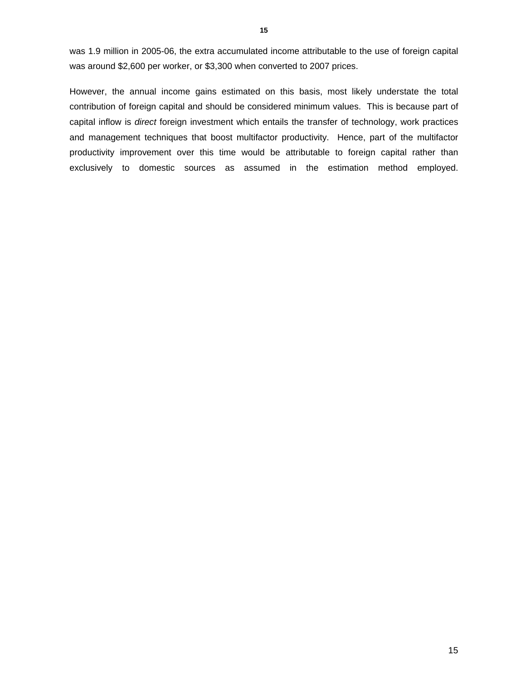was 1.9 million in 2005-06, the extra accumulated income attributable to the use of foreign capital was around \$2,600 per worker, or \$3,300 when converted to 2007 prices.

However, the annual income gains estimated on this basis, most likely understate the total contribution of foreign capital and should be considered minimum values. This is because part of capital inflow is *direct* foreign investment which entails the transfer of technology, work practices and management techniques that boost multifactor productivity. Hence, part of the multifactor productivity improvement over this time would be attributable to foreign capital rather than exclusively to domestic sources as assumed in the estimation method employed.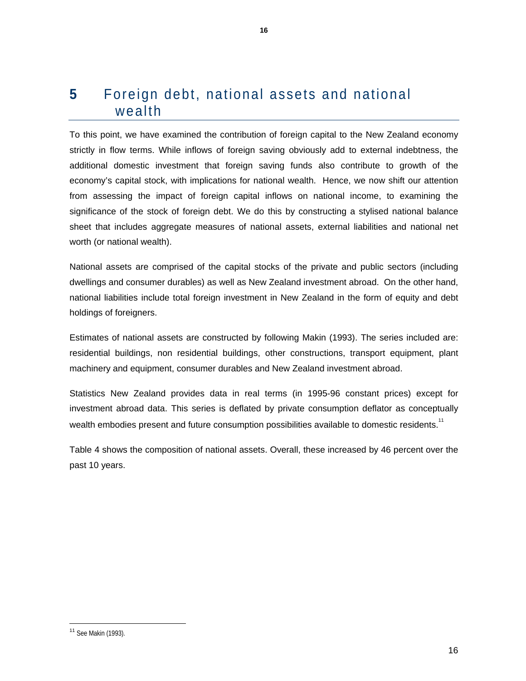### **5** Foreign debt, national assets and national wealth

To this point, we have examined the contribution of foreign capital to the New Zealand economy strictly in flow terms. While inflows of foreign saving obviously add to external indebtness, the additional domestic investment that foreign saving funds also contribute to growth of the economy's capital stock, with implications for national wealth. Hence, we now shift our attention from assessing the impact of foreign capital inflows on national income, to examining the significance of the stock of foreign debt. We do this by constructing a stylised national balance sheet that includes aggregate measures of national assets, external liabilities and national net worth (or national wealth).

National assets are comprised of the capital stocks of the private and public sectors (including dwellings and consumer durables) as well as New Zealand investment abroad. On the other hand, national liabilities include total foreign investment in New Zealand in the form of equity and debt holdings of foreigners.

Estimates of national assets are constructed by following Makin (1993). The series included are: residential buildings, non residential buildings, other constructions, transport equipment, plant machinery and equipment, consumer durables and New Zealand investment abroad.

Statistics New Zealand provides data in real terms (in 1995-96 constant prices) except for investment abroad data. This series is deflated by private consumption deflator as conceptually wealth embodies present and future consumption possibilities available to domestic residents.<sup>11</sup>

Table 4 shows the composition of national assets. Overall, these increased by 46 percent over the past 10 years.

 $\overline{a}$ 

<sup>&</sup>lt;sup>11</sup> See Makin (1993).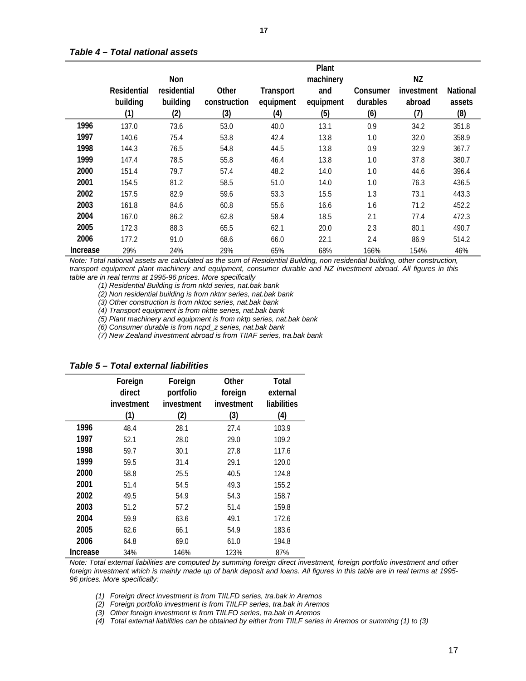| Table 4 - Total national assets |  |  |  |
|---------------------------------|--|--|--|
|---------------------------------|--|--|--|

|                 | <b>Residential</b> | Non<br>residential | Other        | Transport | Plant<br>machinery<br>and | Consumer | ΝZ<br>investment | <b>National</b> |
|-----------------|--------------------|--------------------|--------------|-----------|---------------------------|----------|------------------|-----------------|
|                 | building           | building           | construction | equipment | equipment                 | durables | abroad           | assets          |
|                 | (1)                | (2)                | (3)          | (4)       | (5)                       | (6)      | (7)              | (8)             |
| 1996            | 137.0              | 73.6               | 53.0         | 40.0      | 13.1                      | 0.9      | 34.2             | 351.8           |
| 1997            | 140.6              | 75.4               | 53.8         | 42.4      | 13.8                      | 1.0      | 32.0             | 358.9           |
| 1998            | 144.3              | 76.5               | 54.8         | 44.5      | 13.8                      | 0.9      | 32.9             | 367.7           |
| 1999            | 147.4              | 78.5               | 55.8         | 46.4      | 13.8                      | 1.0      | 37.8             | 380.7           |
| 2000            | 151.4              | 79.7               | 57.4         | 48.2      | 14.0                      | 1.0      | 44.6             | 396.4           |
| 2001            | 154.5              | 81.2               | 58.5         | 51.0      | 14.0                      | 1.0      | 76.3             | 436.5           |
| 2002            | 157.5              | 82.9               | 59.6         | 53.3      | 15.5                      | 1.3      | 73.1             | 443.3           |
| 2003            | 161.8              | 84.6               | 60.8         | 55.6      | 16.6                      | 1.6      | 71.2             | 452.2           |
| 2004            | 167.0              | 86.2               | 62.8         | 58.4      | 18.5                      | 2.1      | 77.4             | 472.3           |
| 2005            | 172.3              | 88.3               | 65.5         | 62.1      | 20.0                      | 2.3      | 80.1             | 490.7           |
| 2006            | 177.2              | 91.0               | 68.6         | 66.0      | 22.1                      | 2.4      | 86.9             | 514.2           |
| <b>Increase</b> | 29%                | 24%                | 29%          | 65%       | 68%                       | 166%     | 154%             | 46%             |

*Note: Total national assets are calculated as the sum of Residential Building, non residential building, other construction, transport equipment plant machinery and equipment, consumer durable and NZ investment abroad. All figures in this table are in real terms at 1995-96 prices. More specifically* 

*(1) Residential Building is from nktd series, nat.bak bank* 

*(2) Non residential building is from nktnr series, nat.bak bank* 

*(3) Other construction is from nktoc series, nat.bak bank* 

*(4) Transport equipment is from nktte series, nat.bak bank* 

*(5) Plant machinery and equipment is from nktp series, nat.bak bank* 

*(6) Consumer durable is from ncpd\_z series, nat.bak bank* 

*(7) New Zealand investment abroad is from TIIAF series, tra.bak bank* 

|          | Foreign<br>direct | Foreign<br>portfolio | Other<br>foreign | <b>Total</b><br>external |
|----------|-------------------|----------------------|------------------|--------------------------|
|          | investment        | investment           | investment       | liabilities              |
|          | (1)               | (2)                  | (3)              | (4)                      |
| 1996     | 48.4              | 28.1                 | 27.4             | 103.9                    |
| 1997     | 52.1              | 28.0                 | 29.0             | 109.2                    |
| 1998     | 59.7              | 30.1                 | 27.8             | 117.6                    |
| 1999     | 59.5              | 31.4                 | 29.1             | 120.0                    |
| 2000     | 58.8              | 25.5                 | 40.5             | 124.8                    |
| 2001     | 51.4              | 54.5                 | 49.3             | 155.2                    |
| 2002     | 49.5              | 54.9                 | 54.3             | 158.7                    |
| 2003     | 51.2              | 57.2                 | 51.4             | 159.8                    |
| 2004     | 59.9              | 63.6                 | 49.1             | 172.6                    |
| 2005     | 62.6              | 66.1                 | 54.9             | 183.6                    |
| 2006     | 64.8              | 69.0                 | 61.0             | 194.8                    |
| Increase | 34%               | 146%                 | 123%             | 87%                      |

### *Table 5 – Total external liabilities*

*Note: Total external liabilities are computed by summing foreign direct investment, foreign portfolio investment and other foreign investment which is mainly made up of bank deposit and loans. All figures in this table are in real terms at 1995- 96 prices. More specifically:* 

*(1) Foreign direct investment is from TIILFD series, tra.bak in Aremos* 

*(2) Foreign portfolio investment is from TIILFP series, tra.bak in Aremos* 

*(3) Other foreign investment is from TIILFO series, tra.bak in Aremos* 

*(4) Total external liabilities can be obtained by either from TIILF series in Aremos or summing (1) to (3)*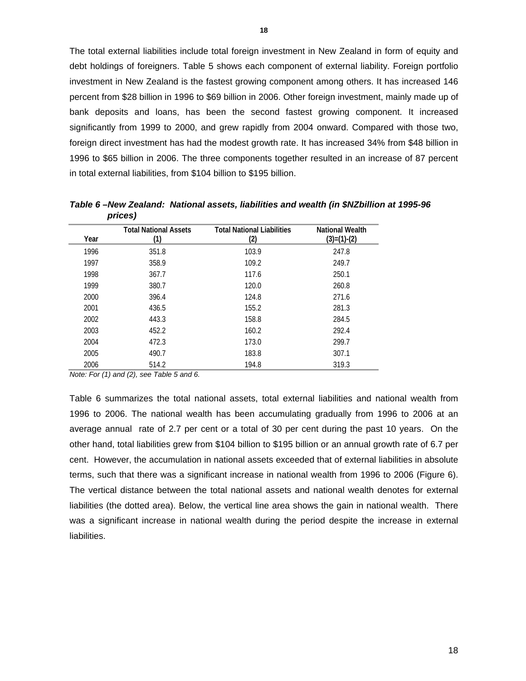The total external liabilities include total foreign investment in New Zealand in form of equity and debt holdings of foreigners. Table 5 shows each component of external liability. Foreign portfolio investment in New Zealand is the fastest growing component among others. It has increased 146 percent from \$28 billion in 1996 to \$69 billion in 2006. Other foreign investment, mainly made up of bank deposits and loans, has been the second fastest growing component. It increased significantly from 1999 to 2000, and grew rapidly from 2004 onward. Compared with those two, foreign direct investment has had the modest growth rate. It has increased 34% from \$48 billion in 1996 to \$65 billion in 2006. The three components together resulted in an increase of 87 percent in total external liabilities, from \$104 billion to \$195 billion.

| Year | <b>Total National Assets</b><br>(1) | <b>Total National Liabilities</b><br>(2) | <b>National Wealth</b><br>$(3)=(1)-(2)$ |
|------|-------------------------------------|------------------------------------------|-----------------------------------------|
| 1996 | 351.8                               | 103.9                                    | 247.8                                   |
| 1997 | 358.9                               | 109.2                                    | 249.7                                   |
| 1998 | 367.7                               | 117.6                                    | 250.1                                   |
| 1999 | 380.7                               | 120.0                                    | 260.8                                   |
| 2000 | 396.4                               | 124.8                                    | 271.6                                   |
| 2001 | 436.5                               | 155.2                                    | 281.3                                   |
| 2002 | 443.3                               | 158.8                                    | 284.5                                   |
| 2003 | 452.2                               | 160.2                                    | 292.4                                   |
| 2004 | 472.3                               | 173.0                                    | 299.7                                   |
| 2005 | 490.7                               | 183.8                                    | 307.1                                   |
| 2006 | 514.2                               | 194.8                                    | 319.3                                   |

*Table 6 –New Zealand: National assets, liabilities and wealth (in \$NZbillion at 1995-96 prices)* 

*Note: For (1) and (2), see Table 5 and 6.* 

Table 6 summarizes the total national assets, total external liabilities and national wealth from 1996 to 2006. The national wealth has been accumulating gradually from 1996 to 2006 at an average annual rate of 2.7 per cent or a total of 30 per cent during the past 10 years. On the other hand, total liabilities grew from \$104 billion to \$195 billion or an annual growth rate of 6.7 per cent. However, the accumulation in national assets exceeded that of external liabilities in absolute terms, such that there was a significant increase in national wealth from 1996 to 2006 (Figure 6). The vertical distance between the total national assets and national wealth denotes for external liabilities (the dotted area). Below, the vertical line area shows the gain in national wealth. There was a significant increase in national wealth during the period despite the increase in external liabilities.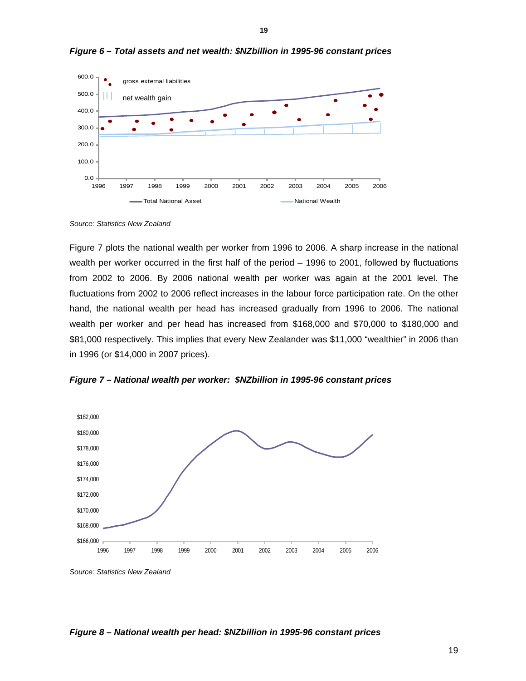

*Figure 6 – Total assets and net wealth: \$NZbillion in 1995-96 constant prices* 

Figure 7 plots the national wealth per worker from 1996 to 2006. A sharp increase in the national wealth per worker occurred in the first half of the period – 1996 to 2001, followed by fluctuations from 2002 to 2006. By 2006 national wealth per worker was again at the 2001 level. The fluctuations from 2002 to 2006 reflect increases in the labour force participation rate. On the other hand, the national wealth per head has increased gradually from 1996 to 2006. The national wealth per worker and per head has increased from \$168,000 and \$70,000 to \$180,000 and \$81,000 respectively. This implies that every New Zealander was \$11,000 "wealthier" in 2006 than in 1996 (or \$14,000 in 2007 prices).





*Source: Statistics New Zealand* 

#### *Figure 8 – National wealth per head: \$NZbillion in 1995-96 constant prices*

*Source: Statistics New Zealand*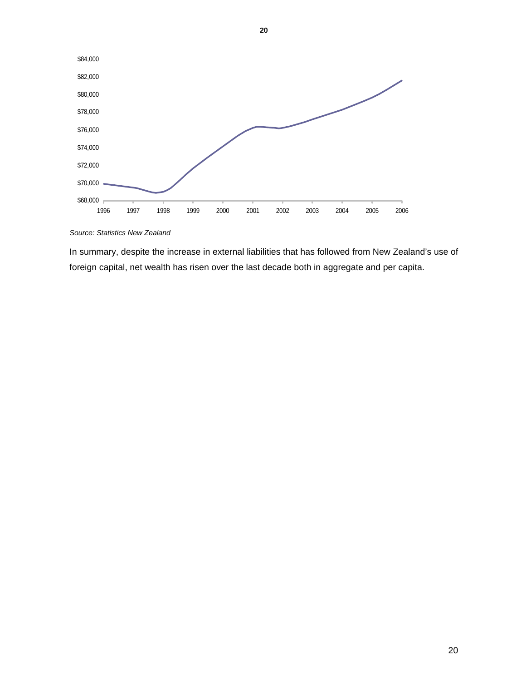

*Source: Statistics New Zealand*

In summary, despite the increase in external liabilities that has followed from New Zealand's use of foreign capital, net wealth has risen over the last decade both in aggregate and per capita.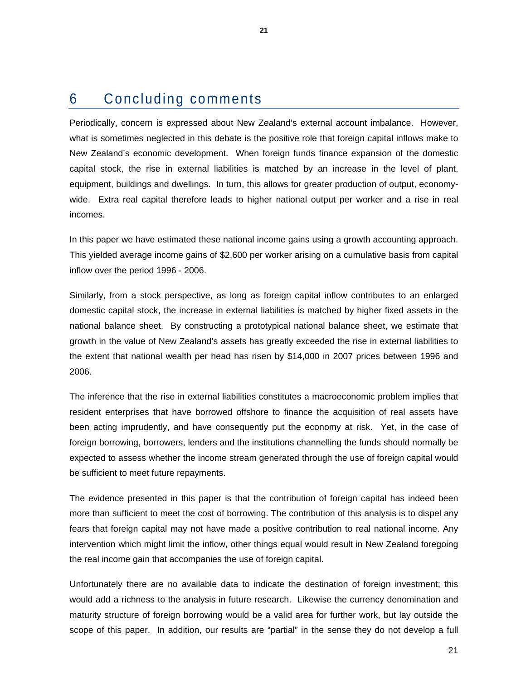### 6 Concluding comments

Periodically, concern is expressed about New Zealand's external account imbalance. However, what is sometimes neglected in this debate is the positive role that foreign capital inflows make to New Zealand's economic development. When foreign funds finance expansion of the domestic capital stock, the rise in external liabilities is matched by an increase in the level of plant, equipment, buildings and dwellings. In turn, this allows for greater production of output, economywide. Extra real capital therefore leads to higher national output per worker and a rise in real incomes.

In this paper we have estimated these national income gains using a growth accounting approach. This yielded average income gains of \$2,600 per worker arising on a cumulative basis from capital inflow over the period 1996 - 2006.

Similarly, from a stock perspective, as long as foreign capital inflow contributes to an enlarged domestic capital stock, the increase in external liabilities is matched by higher fixed assets in the national balance sheet. By constructing a prototypical national balance sheet, we estimate that growth in the value of New Zealand's assets has greatly exceeded the rise in external liabilities to the extent that national wealth per head has risen by \$14,000 in 2007 prices between 1996 and 2006.

The inference that the rise in external liabilities constitutes a macroeconomic problem implies that resident enterprises that have borrowed offshore to finance the acquisition of real assets have been acting imprudently, and have consequently put the economy at risk. Yet, in the case of foreign borrowing, borrowers, lenders and the institutions channelling the funds should normally be expected to assess whether the income stream generated through the use of foreign capital would be sufficient to meet future repayments.

The evidence presented in this paper is that the contribution of foreign capital has indeed been more than sufficient to meet the cost of borrowing. The contribution of this analysis is to dispel any fears that foreign capital may not have made a positive contribution to real national income. Any intervention which might limit the inflow, other things equal would result in New Zealand foregoing the real income gain that accompanies the use of foreign capital.

Unfortunately there are no available data to indicate the destination of foreign investment; this would add a richness to the analysis in future research. Likewise the currency denomination and maturity structure of foreign borrowing would be a valid area for further work, but lay outside the scope of this paper. In addition, our results are "partial" in the sense they do not develop a full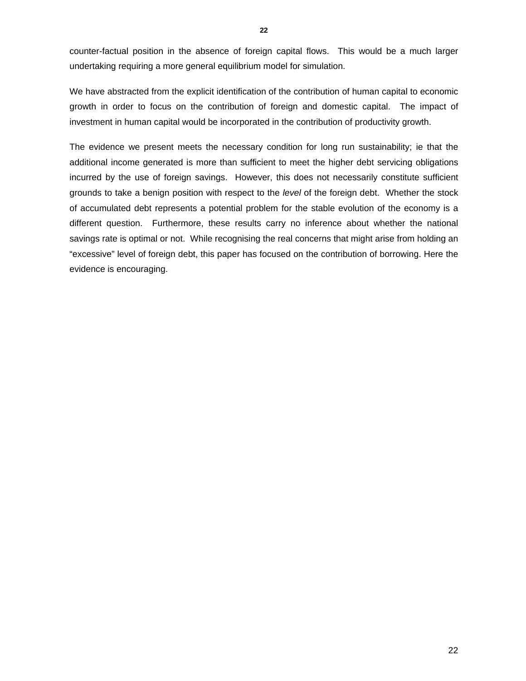counter-factual position in the absence of foreign capital flows. This would be a much larger undertaking requiring a more general equilibrium model for simulation.

We have abstracted from the explicit identification of the contribution of human capital to economic growth in order to focus on the contribution of foreign and domestic capital. The impact of investment in human capital would be incorporated in the contribution of productivity growth.

The evidence we present meets the necessary condition for long run sustainability; ie that the additional income generated is more than sufficient to meet the higher debt servicing obligations incurred by the use of foreign savings. However, this does not necessarily constitute sufficient grounds to take a benign position with respect to the *level* of the foreign debt. Whether the stock of accumulated debt represents a potential problem for the stable evolution of the economy is a different question. Furthermore, these results carry no inference about whether the national savings rate is optimal or not. While recognising the real concerns that might arise from holding an "excessive" level of foreign debt, this paper has focused on the contribution of borrowing. Here the evidence is encouraging.

**22**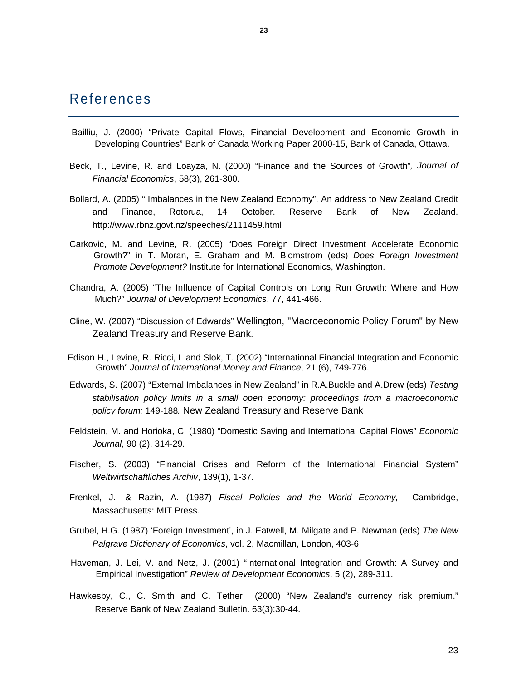- Bailliu, J. (2000) "Private Capital Flows, Financial Development and Economic Growth in Developing Countries" Bank of Canada Working Paper 2000-15, Bank of Canada, Ottawa.
- Beck, T., Levine, R. and Loayza, N. (2000) "Finance and the Sources of Growth"*, Journal of Financial Economics*, 58(3), 261-300.
- Bollard, A. (2005) " Imbalances in the New Zealand Economy". An address to New Zealand Credit and Finance, Rotorua, 14 October. Reserve Bank of New Zealand. http://www.rbnz.govt.nz/speeches/2111459.html
- Carkovic, M. and Levine, R. (2005) "Does Foreign Direct Investment Accelerate Economic Growth?" in T. Moran, E. Graham and M. Blomstrom (eds) *Does Foreign Investment Promote Development?* Institute for International Economics, Washington.
- Chandra, A. (2005) "The Influence of Capital Controls on Long Run Growth: Where and How Much?" *Journal of Development Economics*, 77, 441-466.
- Cline, W. (2007) "Discussion of Edwards" Wellington, "Macroeconomic Policy Forum" by New Zealand Treasury and Reserve Bank.
- Edison H., Levine, R. Ricci, L and Slok, T. (2002) "International Financial Integration and Economic Growth" *Journal of International Money and Finance*, 21 (6), 749-776.
- Edwards, S. (2007) "External Imbalances in New Zealand" in R.A.Buckle and A.Drew (eds) *Testing stabilisation policy limits in a small open economy: proceedings from a macroeconomic policy forum:* 149-188*.* New Zealand Treasury and Reserve Bank
- Feldstein, M. and Horioka, C. (1980) "Domestic Saving and International Capital Flows" *Economic Journal*, 90 (2), 314-29.
- Fischer, S. (2003) "Financial Crises and Reform of the International Financial System" *Weltwirtschaftliches Archiv*, 139(1), 1-37.
- Frenkel, J., & Razin, A. (1987) *Fiscal Policies and the World Economy,* Cambridge, Massachusetts: MIT Press.
- Grubel, H.G. (1987) 'Foreign Investment', in J. Eatwell, M. Milgate and P. Newman (eds) *The New Palgrave Dictionary of Economics*, vol. 2, Macmillan, London, 403-6.
- Haveman, J. Lei, V. and Netz, J. (2001) "International Integration and Growth: A Survey and Empirical Investigation" *Review of Development Economics*, 5 (2), 289-311.
- Hawkesby, C., C. Smith and C. Tether (2000) "New Zealand's currency risk premium." Reserve Bank of New Zealand Bulletin. 63(3):30-44.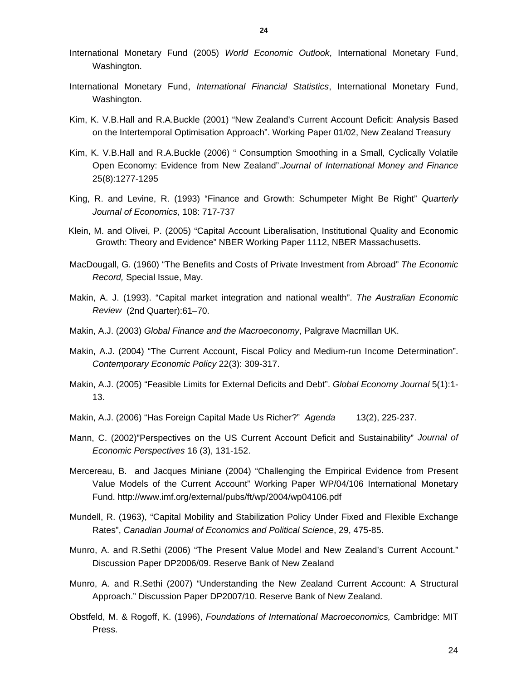- International Monetary Fund (2005) *World Economic Outlook*, International Monetary Fund, Washington.
- International Monetary Fund, *International Financial Statistics*, International Monetary Fund, Washington.
- Kim, K. V.B.Hall and R.A.Buckle (2001) "New Zealand's Current Account Deficit: Analysis Based on the Intertemporal Optimisation Approach". Working Paper 01/02, New Zealand Treasury
- Kim, K. V.B.Hall and R.A.Buckle (2006) " Consumption Smoothing in a Small, Cyclically Volatile Open Economy: Evidence from New Zealand".*Journal of International Money and Finance* 25(8):1277-1295
- King, R. and Levine, R. (1993) "Finance and Growth: Schumpeter Might Be Right" *Quarterly Journal of Economics*, 108: 717-737
- Klein, M. and Olivei, P. (2005) "Capital Account Liberalisation, Institutional Quality and Economic Growth: Theory and Evidence" NBER Working Paper 1112, NBER Massachusetts.
- MacDougall, G. (1960) "The Benefits and Costs of Private Investment from Abroad" *The Economic Record,* Special Issue, May.
- Makin, A. J. (1993). "Capital market integration and national wealth". *The Australian Economic Review* (2nd Quarter):61–70.
- Makin, A.J. (2003) *Global Finance and the Macroeconomy*, Palgrave Macmillan UK.
- Makin, A.J. (2004) "The Current Account, Fiscal Policy and Medium-run Income Determination". *Contemporary Economic Policy* 22(3): 309-317.
- Makin, A.J. (2005) "Feasible Limits for External Deficits and Debt". *Global Economy Journal* 5(1):1- 13.
- Makin, A.J. (2006) "Has Foreign Capital Made Us Richer?" *Agenda* 13(2), 225-237.
- Mann, C. (2002)"Perspectives on the US Current Account Deficit and Sustainability" *Journal of Economic Perspectives* 16 (3), 131-152.
- Mercereau, B. and Jacques Miniane (2004) "Challenging the Empirical Evidence from Present Value Models of the Current Account" Working Paper WP/04/106 International Monetary Fund. http://www.imf.org/external/pubs/ft/wp/2004/wp04106.pdf
- Mundell, R. (1963), "Capital Mobility and Stabilization Policy Under Fixed and Flexible Exchange Rates", *Canadian Journal of Economics and Political Science*, 29, 475-85.
- Munro, A. and R.Sethi (2006) "The Present Value Model and New Zealand's Current Account." Discussion Paper DP2006/09. Reserve Bank of New Zealand
- Munro, A. and R.Sethi (2007) "Understanding the New Zealand Current Account: A Structural Approach." Discussion Paper DP2007/10. Reserve Bank of New Zealand.
- Obstfeld, M. & Rogoff, K. (1996), *Foundations of International Macroeconomics,* Cambridge: MIT Press.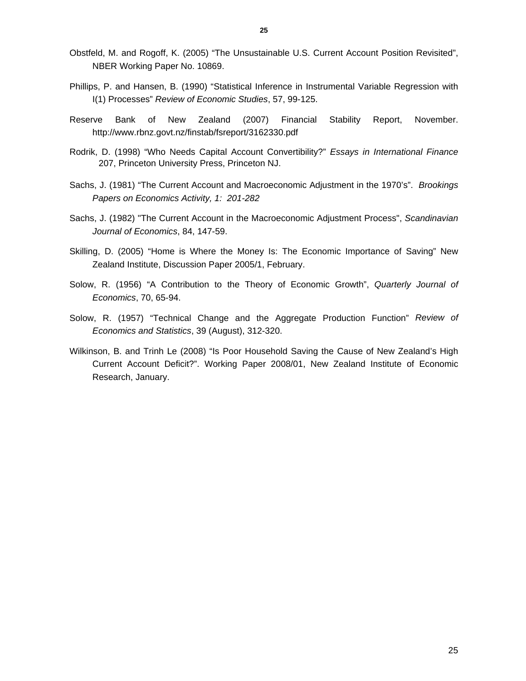- Obstfeld, M. and Rogoff, K. (2005) "The Unsustainable U.S. Current Account Position Revisited", NBER Working Paper No. 10869.
- Phillips, P. and Hansen, B. (1990) "Statistical Inference in Instrumental Variable Regression with I(1) Processes" *Review of Economic Studies*, 57, 99-125.
- Reserve Bank of New Zealand (2007) Financial Stability Report, November. http://www.rbnz.govt.nz/finstab/fsreport/3162330.pdf
- Rodrik, D. (1998) "Who Needs Capital Account Convertibility?" *Essays in International Finance*  207, Princeton University Press, Princeton NJ.
- Sachs, J. (1981) "The Current Account and Macroeconomic Adjustment in the 1970's". *Brookings Papers on Economics Activity, 1: 201-282*
- Sachs, J. (1982) "The Current Account in the Macroeconomic Adjustment Process", *Scandinavian Journal of Economics*, 84, 147-59.
- Skilling, D. (2005) "Home is Where the Money Is: The Economic Importance of Saving" New Zealand Institute, Discussion Paper 2005/1, February.
- Solow, R. (1956) "A Contribution to the Theory of Economic Growth", *Quarterly Journal of Economics*, 70, 65-94.
- Solow, R. (1957) "Technical Change and the Aggregate Production Function" *Review of Economics and Statistics*, 39 (August), 312-320.
- Wilkinson, B. and Trinh Le (2008) "Is Poor Household Saving the Cause of New Zealand's High Current Account Deficit?". Working Paper 2008/01, New Zealand Institute of Economic Research, January.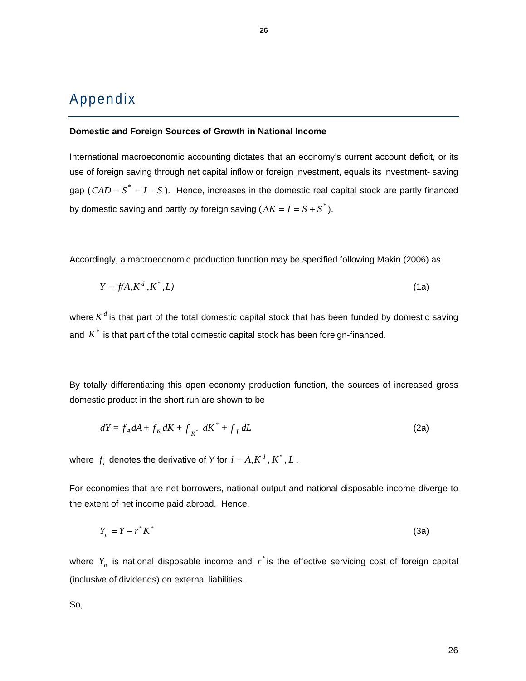### Appendix

#### **Domestic and Foreign Sources of Growth in National Income**

International macroeconomic accounting dictates that an economy's current account deficit, or its use of foreign saving through net capital inflow or foreign investment, equals its investment- saving gap ( $CAD = S^* = I - S$ ). Hence, increases in the domestic real capital stock are partly financed by domestic saving and partly by foreign saving ( $\Delta K = I = S + S^*$ ).

Accordingly, a macroeconomic production function may be specified following Makin (2006) as

$$
Y = f(A, K^d, K^*, L) \tag{1a}
$$

where  $K^d$  is that part of the total domestic capital stock that has been funded by domestic saving and  $K^*$  is that part of the total domestic capital stock has been foreign-financed.

By totally differentiating this open economy production function, the sources of increased gross domestic product in the short run are shown to be

$$
dY = f_A dA + f_K dK + f_{K^*} dK^* + f_L dL \tag{2a}
$$

where  $f_i$  denotes the derivative of *Y* for  $i = A, K^d, K^*, L$ .

For economies that are net borrowers, national output and national disposable income diverge to the extent of net income paid abroad. Hence,

$$
Y_n = Y - r^* K^* \tag{3a}
$$

where  $Y_n$  is national disposable income and  $r^*$  is the effective servicing cost of foreign capital (inclusive of dividends) on external liabilities.

So,